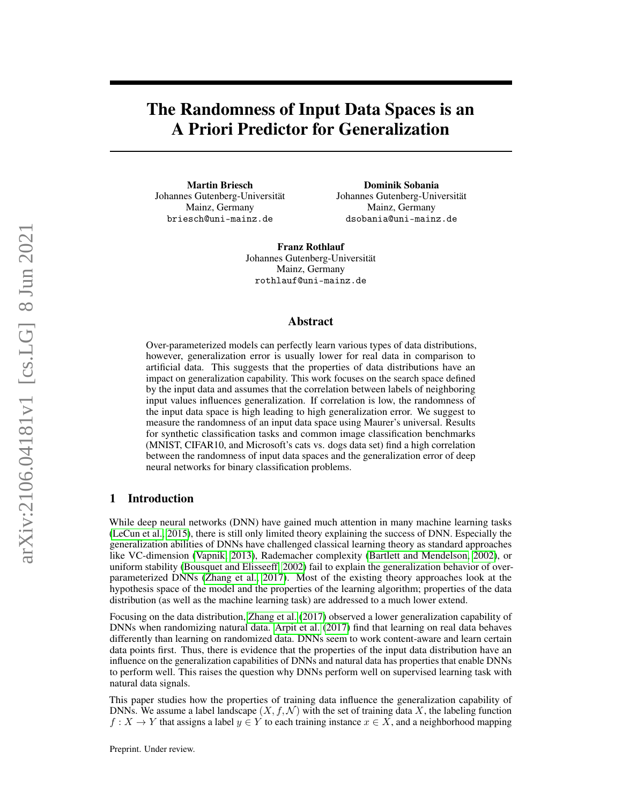# The Randomness of Input Data Spaces is an A Priori Predictor for Generalization

Martin Briesch Johannes Gutenberg-Universität Mainz, Germany briesch@uni-mainz.de

Dominik Sobania Johannes Gutenberg-Universität Mainz, Germany dsobania@uni-mainz.de

Franz Rothlauf Johannes Gutenberg-Universität Mainz, Germany rothlauf@uni-mainz.de

#### Abstract

Over-parameterized models can perfectly learn various types of data distributions, however, generalization error is usually lower for real data in comparison to artificial data. This suggests that the properties of data distributions have an impact on generalization capability. This work focuses on the search space defined by the input data and assumes that the correlation between labels of neighboring input values influences generalization. If correlation is low, the randomness of the input data space is high leading to high generalization error. We suggest to measure the randomness of an input data space using Maurer's universal. Results for synthetic classification tasks and common image classification benchmarks (MNIST, CIFAR10, and Microsoft's cats vs. dogs data set) find a high correlation between the randomness of input data spaces and the generalization error of deep neural networks for binary classification problems.

## 1 Introduction

While deep neural networks (DNN) have gained much attention in many machine learning tasks [\(LeCun et al., 2015\)](#page-10-0), there is still only limited theory explaining the success of DNN. Especially the generalization abilities of DNNs have challenged classical learning theory as standard approaches like VC-dimension [\(Vapnik, 2013\)](#page-10-1), Rademacher complexity [\(Bartlett and Mendelson, 2002\)](#page-9-0), or uniform stability [\(Bousquet and Elisseeff, 2002\)](#page-9-1) fail to explain the generalization behavior of overparameterized DNNs [\(Zhang et al., 2017\)](#page-11-0). Most of the existing theory approaches look at the hypothesis space of the model and the properties of the learning algorithm; properties of the data distribution (as well as the machine learning task) are addressed to a much lower extend.

Focusing on the data distribution, [Zhang et al.](#page-11-0) [\(2017\)](#page-11-0) observed a lower generalization capability of DNNs when randomizing natural data. [Arpit et al.](#page-9-2) [\(2017\)](#page-9-2) find that learning on real data behaves differently than learning on randomized data. DNNs seem to work content-aware and learn certain data points first. Thus, there is evidence that the properties of the input data distribution have an influence on the generalization capabilities of DNNs and natural data has properties that enable DNNs to perform well. This raises the question why DNNs perform well on supervised learning task with natural data signals.

This paper studies how the properties of training data influence the generalization capability of DNNs. We assume a label landscape  $(X, f, \mathcal{N})$  with the set of training data X, the labeling function  $f: X \to Y$  that assigns a label  $y \in Y$  to each training instance  $x \in X$ , and a neighborhood mapping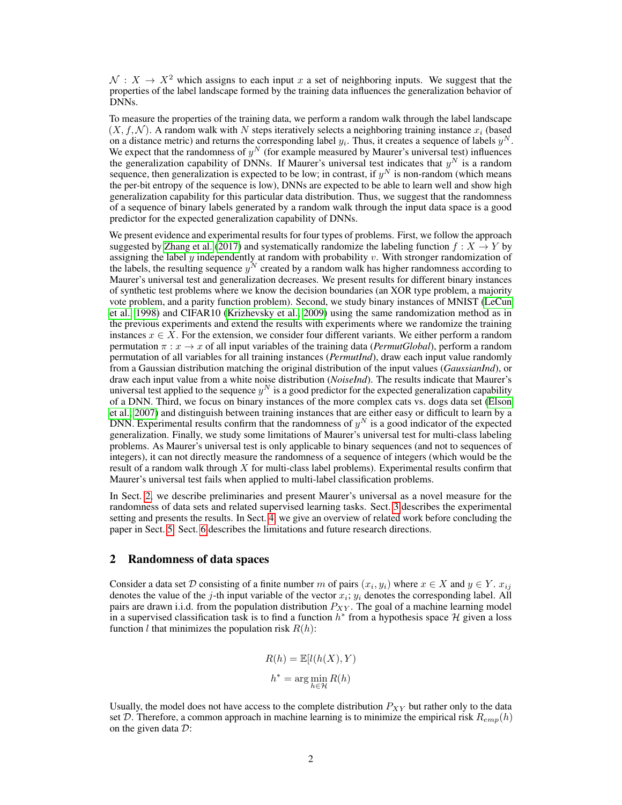$\mathcal{N}: X \to X^2$  which assigns to each input x a set of neighboring inputs. We suggest that the properties of the label landscape formed by the training data influences the generalization behavior of DNNs.

To measure the properties of the training data, we perform a random walk through the label landscape  $(X, f, \mathcal{N})$ . A random walk with N steps iteratively selects a neighboring training instance  $x_i$  (based on a distance metric) and returns the corresponding label  $y_i$ . Thus, it creates a sequence of labels  $y^N$ . We expect that the randomness of  $y^N$  (for example measured by Maurer's universal test) influences the generalization capability of DNNs. If Maurer's universal test indicates that  $y^N$  is a random sequence, then generalization is expected to be low; in contrast, if  $y^N$  is non-random (which means the per-bit entropy of the sequence is low), DNNs are expected to be able to learn well and show high generalization capability for this particular data distribution. Thus, we suggest that the randomness of a sequence of binary labels generated by a random walk through the input data space is a good predictor for the expected generalization capability of DNNs.

We present evidence and experimental results for four types of problems. First, we follow the approach suggested by [Zhang et al.](#page-11-0) [\(2017\)](#page-11-0) and systematically randomize the labeling function  $f: X \to Y$  by assigning the label  $y$  independently at random with probability  $v$ . With stronger randomization of the labels, the resulting sequence  $y^N$  created by a random walk has higher randomness according to Maurer's universal test and generalization decreases. We present results for different binary instances of synthetic test problems where we know the decision boundaries (an XOR type problem, a majority vote problem, and a parity function problem). Second, we study binary instances of MNIST [\(LeCun](#page-10-2) [et al., 1998\)](#page-10-2) and CIFAR10 [\(Krizhevsky et al., 2009\)](#page-10-3) using the same randomization method as in the previous experiments and extend the results with experiments where we randomize the training instances  $x \in X$ . For the extension, we consider four different variants. We either perform a random permutation  $\pi$ :  $x \to x$  of all input variables of the training data (*PermutGlobal*), perform a random permutation of all variables for all training instances (*PermutInd*), draw each input value randomly from a Gaussian distribution matching the original distribution of the input values (*GaussianInd*), or draw each input value from a white noise distribution (*NoiseInd*). The results indicate that Maurer's universal test applied to the sequence  $y^N$  is a good predictor for the expected generalization capability of a DNN. Third, we focus on binary instances of the more complex cats vs. dogs data set [\(Elson](#page-9-3) [et al., 2007\)](#page-9-3) and distinguish between training instances that are either easy or difficult to learn by a DNN. Experimental results confirm that the randomness of  $y^N$  is a good indicator of the expected generalization. Finally, we study some limitations of Maurer's universal test for multi-class labeling problems. As Maurer's universal test is only applicable to binary sequences (and not to sequences of integers), it can not directly measure the randomness of a sequence of integers (which would be the result of a random walk through  $X$  for multi-class label problems). Experimental results confirm that Maurer's universal test fails when applied to multi-label classification problems.

In Sect. [2,](#page-1-0) we describe preliminaries and present Maurer's universal as a novel measure for the randomness of data sets and related supervised learning tasks. Sect. [3](#page-4-0) describes the experimental setting and presents the results. In Sect. [4,](#page-8-0) we give an overview of related work before concluding the paper in Sect. [5.](#page-8-1) Sect. [6](#page-8-2) describes the limitations and future research directions.

#### <span id="page-1-0"></span>2 Randomness of data spaces

Consider a data set D consisting of a finite number m of pairs  $(x_i, y_i)$  where  $x \in X$  and  $y \in Y$ .  $x_{ij}$ denotes the value of the j-th input variable of the vector  $x_i$ ;  $y_i$  denotes the corresponding label. All pairs are drawn i.i.d. from the population distribution  $P_{XY}$ . The goal of a machine learning model in a supervised classification task is to find a function  $h^*$  from a hypothesis space H given a loss function *l* that minimizes the population risk  $R(h)$ :

$$
R(h) = \mathbb{E}[l(h(X), Y)]
$$

$$
h^* = \arg\min_{h \in \mathcal{H}} R(h)
$$

Usually, the model does not have access to the complete distribution  $P_{XY}$  but rather only to the data set D. Therefore, a common approach in machine learning is to minimize the empirical risk  $R_{emp}(h)$ on the given data D: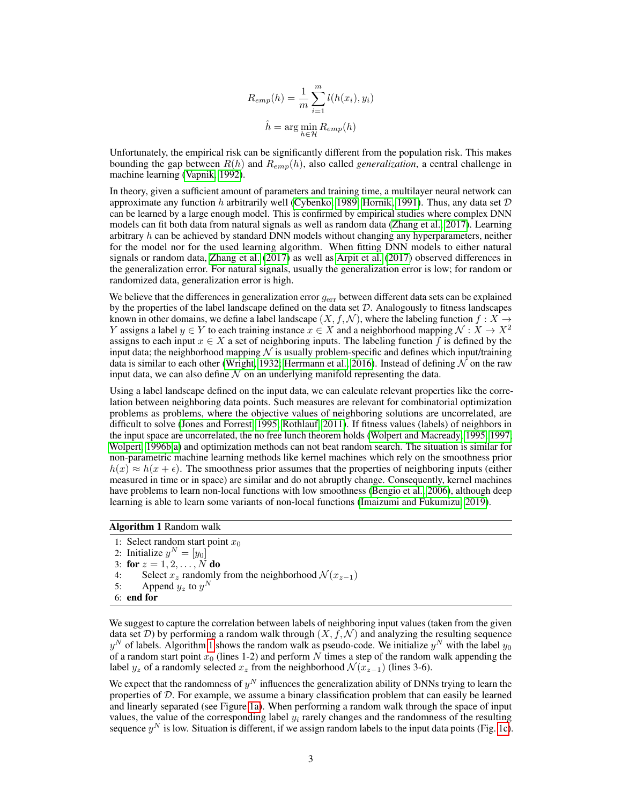$$
R_{emp}(h) = \frac{1}{m} \sum_{i=1}^{m} l(h(x_i), y_i)
$$

$$
\hat{h} = \arg\min_{h \in \mathcal{H}} R_{emp}(h)
$$

Unfortunately, the empirical risk can be significantly different from the population risk. This makes bounding the gap between R(h) and Remp(h), also called *generalization*, a central challenge in machine learning [\(Vapnik, 1992\)](#page-10-4).

In theory, given a sufficient amount of parameters and training time, a multilayer neural network can approximate any function h arbitrarily well [\(Cybenko, 1989;](#page-9-4) [Hornik, 1991\)](#page-10-5). Thus, any data set  $D$ can be learned by a large enough model. This is confirmed by empirical studies where complex DNN models can fit both data from natural signals as well as random data [\(Zhang et al., 2017\)](#page-11-0). Learning arbitrary  $h$  can be achieved by standard DNN models without changing any hyperparameters, neither for the model nor for the used learning algorithm. When fitting DNN models to either natural signals or random data, [Zhang et al.](#page-11-0) [\(2017\)](#page-11-0) as well as [Arpit et al.](#page-9-2) [\(2017\)](#page-9-2) observed differences in the generalization error. For natural signals, usually the generalization error is low; for random or randomized data, generalization error is high.

We believe that the differences in generalization error  $g_{err}$  between different data sets can be explained by the properties of the label landscape defined on the data set  $D$ . Analogously to fitness landscapes known in other domains, we define a label landscape  $(X, f, \mathcal{N})$ , where the labeling function  $f : X \to Y$ Y assigns a label  $y \in Y$  to each training instance  $x \in X$  and a neighborhood mapping  $\mathcal{N}: X \to X^2$ assigns to each input  $x \in X$  a set of neighboring inputs. The labeling function f is defined by the input data; the neighborhood mapping  $N$  is usually problem-specific and defines which input/training data is similar to each other [\(Wright, 1932;](#page-11-1) [Herrmann et al., 2016\)](#page-10-6). Instead of defining  $\overline{\mathcal{N}}$  on the raw input data, we can also define  $N$  on an underlying manifold representing the data.

Using a label landscape defined on the input data, we can calculate relevant properties like the correlation between neighboring data points. Such measures are relevant for combinatorial optimization problems as problems, where the objective values of neighboring solutions are uncorrelated, are difficult to solve [\(Jones and Forrest, 1995;](#page-10-7) [Rothlauf, 2011\)](#page-10-8). If fitness values (labels) of neighbors in the input space are uncorrelated, the no free lunch theorem holds [\(Wolpert and Macready, 1995,](#page-11-2) [1997;](#page-11-3) [Wolpert, 1996b,](#page-11-4)[a\)](#page-11-5) and optimization methods can not beat random search. The situation is similar for non-parametric machine learning methods like kernel machines which rely on the smoothness prior  $h(x) \approx h(x + \epsilon)$ . The smoothness prior assumes that the properties of neighboring inputs (either measured in time or in space) are similar and do not abruptly change. Consequently, kernel machines have problems to learn non-local functions with low smoothness [\(Bengio et al., 2006\)](#page-9-5), although deep learning is able to learn some variants of non-local functions [\(Imaizumi and Fukumizu, 2019\)](#page-10-9).

<span id="page-2-0"></span>Algorithm 1 Random walk

1: Select random start point  $x_0$ 2: Initialize  $y^N = [y_0]$ 3: for  $z = 1, 2, ..., N$  do 4: Select  $x_z$  randomly from the neighborhood  $\mathcal{N}(x_{z-1})$ <br>5: Append  $y_z$  to  $y^N$ 5: Append  $y_z$  to  $y^N$ 6: end for

We suggest to capture the correlation between labels of neighboring input values (taken from the given data set  $D$ ) by performing a random walk through  $(X, f, \mathcal{N})$  and analyzing the resulting sequence  $y^N$  of labels. Algorithm [1](#page-2-0) shows the random walk as pseudo-code. We initialize  $y^N$  with the label  $y_0$ of a random start point  $x_0$  (lines 1-2) and perform N times a step of the random walk appending the label  $y_z$  of a randomly selected  $x_z$  from the neighborhood  $\mathcal{N}(x_{z-1})$  (lines 3-6).

We expect that the randomness of  $y^N$  influences the generalization ability of DNNs trying to learn the properties of  $D$ . For example, we assume a binary classification problem that can easily be learned and linearly separated (see Figure [1a\)](#page-3-0). When performing a random walk through the space of input values, the value of the corresponding label  $y_i$  rarely changes and the randomness of the resulting sequence  $y^N$  is low. Situation is different, if we assign random labels to the input data points (Fig. [1c\)](#page-3-1).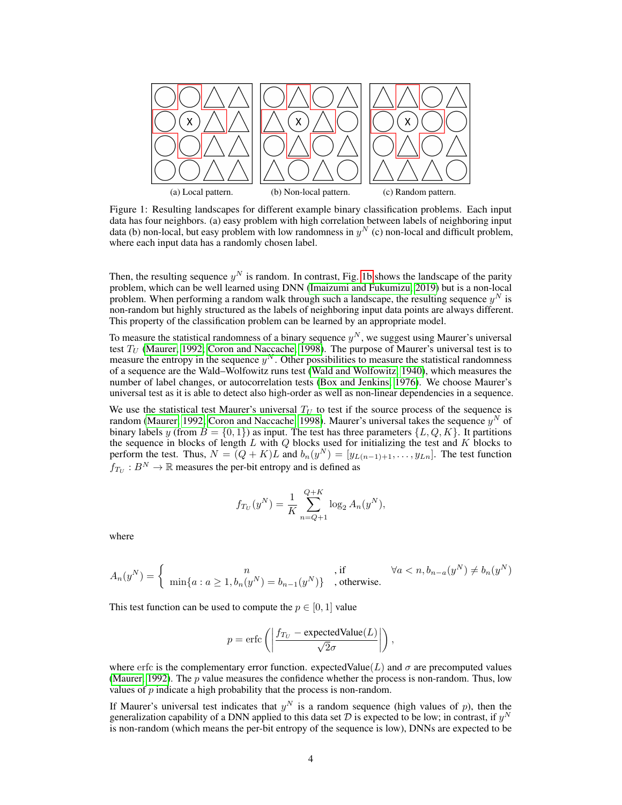<span id="page-3-2"></span><span id="page-3-1"></span><span id="page-3-0"></span>

Figure 1: Resulting landscapes for different example binary classification problems. Each input data has four neighbors. (a) easy problem with high correlation between labels of neighboring input data (b) non-local, but easy problem with low randomness in  $y^N$  (c) non-local and difficult problem, where each input data has a randomly chosen label.

Then, the resulting sequence  $y^N$  is random. In contrast, Fig. [1b](#page-3-2) shows the landscape of the parity problem, which can be well learned using DNN [\(Imaizumi and Fukumizu, 2019\)](#page-10-9) but is a non-local problem. When performing a random walk through such a landscape, the resulting sequence  $y^N$  is non-random but highly structured as the labels of neighboring input data points are always different. This property of the classification problem can be learned by an appropriate model.

To measure the statistical randomness of a binary sequence  $y<sup>N</sup>$ , we suggest using Maurer's universal test  $T_U$  [\(Maurer, 1992;](#page-10-10) [Coron and Naccache, 1998\)](#page-9-6). The purpose of Maurer's universal test is to measure the entropy in the sequence  $y^N$ . Other possibilities to measure the statistical randomness of a sequence are the Wald–Wolfowitz runs test [\(Wald and Wolfowitz, 1940\)](#page-11-6), which measures the number of label changes, or autocorrelation tests [\(Box and Jenkins, 1976\)](#page-9-7). We choose Maurer's universal test as it is able to detect also high-order as well as non-linear dependencies in a sequence.

We use the statistical test Maurer's universal  $T_U$  to test if the source process of the sequence is random [\(Maurer, 1992;](#page-10-10) [Coron and Naccache, 1998\)](#page-9-6). Maurer's universal takes the sequence  $y^N$  of binary labels y (from  $B = \{0, 1\}$ ) as input. The test has three parameters  $\{L, Q, K\}$ . It partitions the sequence in blocks of length  $L$  with  $Q$  blocks used for initializing the test and  $K$  blocks to perform the test. Thus,  $N = (Q + K)L$  and  $b_n(y^N) = [y_{L(n-1)+1}, \ldots, y_{Ln}]$ . The test function  $f_{T_U}: B^N \to \mathbb{R}$  measures the per-bit entropy and is defined as

$$
f_{T_U}(y^N) = \frac{1}{K} \sum_{n=Q+1}^{Q+K} \log_2 A_n(y^N),
$$

where

$$
A_n(y^N) = \left\{ \begin{array}{cl} n & \text{, if } & \forall a < n, b_{n-a}(y^N) \neq b_n(y^N) \\ \min\{a : a \geq 1, b_n(y^N) = b_{n-1}(y^N)\} & \text{, otherwise.} \end{array} \right.
$$

This test function can be used to compute the  $p \in [0, 1]$  value

$$
p = \text{erfc}\left(\left|\frac{f_{T_U} - \text{expectedValue}(L)}{\sqrt{2}\sigma}\right|\right),\,
$$

where erfc is the complementary error function. expectedValue(L) and  $\sigma$  are precomputed values [\(Maurer, 1992\)](#page-10-10). The p value measures the confidence whether the process is non-random. Thus, low values of  $p$  indicate a high probability that the process is non-random.

If Maurer's universal test indicates that  $y^N$  is a random sequence (high values of p), then the generalization capability of a DNN applied to this data set  $D$  is expected to be low; in contrast, if  $y^N$ is non-random (which means the per-bit entropy of the sequence is low), DNNs are expected to be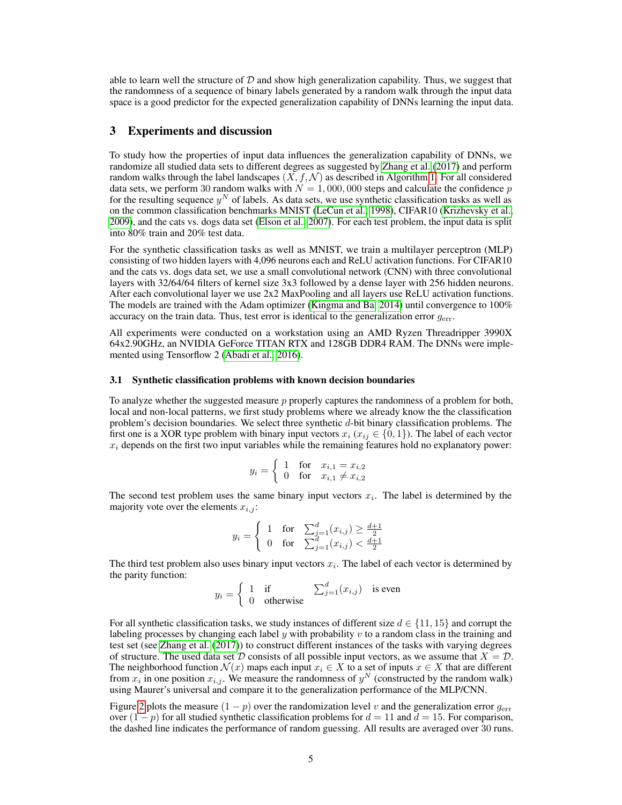able to learn well the structure of  $D$  and show high generalization capability. Thus, we suggest that the randomness of a sequence of binary labels generated by a random walk through the input data space is a good predictor for the expected generalization capability of DNNs learning the input data.

#### <span id="page-4-0"></span>3 Experiments and discussion

To study how the properties of input data influences the generalization capability of DNNs, we randomize all studied data sets to different degrees as suggested by [Zhang et al.](#page-11-0) [\(2017\)](#page-11-0) and perform random walks through the label landscapes  $(X, f, \mathcal{N})$  as described in Algorithm [1.](#page-2-0) For all considered data sets, we perform 30 random walks with  $N = 1,000,000$  steps and calculate the confidence p for the resulting sequence  $y^N$  of labels. As data sets, we use synthetic classification tasks as well as on the common classification benchmarks MNIST [\(LeCun et al., 1998\)](#page-10-2), CIFAR10 [\(Krizhevsky et al.,](#page-10-3) [2009\)](#page-10-3), and the cats vs. dogs data set [\(Elson et al., 2007\)](#page-9-3). For each test problem, the input data is split into 80% train and 20% test data.

For the synthetic classification tasks as well as MNIST, we train a multilayer perceptron (MLP) consisting of two hidden layers with 4,096 neurons each and ReLU activation functions. For CIFAR10 and the cats vs. dogs data set, we use a small convolutional network (CNN) with three convolutional layers with 32/64/64 filters of kernel size 3x3 followed by a dense layer with 256 hidden neurons. After each convolutional layer we use 2x2 MaxPooling and all layers use ReLU activation functions. The models are trained with the Adam optimizer [\(Kingma and Ba, 2014\)](#page-10-11) until convergence to 100% accuracy on the train data. Thus, test error is identical to the generalization error  $q_{err}$ .

All experiments were conducted on a workstation using an AMD Ryzen Threadripper 3990X 64x2.90GHz, an NVIDIA GeForce TITAN RTX and 128GB DDR4 RAM. The DNNs were implemented using Tensorflow 2 [\(Abadi et al., 2016\)](#page-9-8).

#### <span id="page-4-1"></span>3.1 Synthetic classification problems with known decision boundaries

To analyze whether the suggested measure p properly captures the randomness of a problem for both, local and non-local patterns, we first study problems where we already know the the classification problem's decision boundaries. We select three synthetic  $d$ -bit binary classification problems. The first one is a XOR type problem with binary input vectors  $x_i$  ( $x_{ij} \in \{0, 1\}$ ). The label of each vector  $x_i$  depends on the first two input variables while the remaining features hold no explanatory power:

$$
y_i = \begin{cases} 1 & \text{for } x_{i,1} = x_{i,2} \\ 0 & \text{for } x_{i,1} \neq x_{i,2} \end{cases}
$$

The second test problem uses the same binary input vectors  $x_i$ . The label is determined by the majority vote over the elements  $x_{i,j}$ :

$$
y_i = \begin{cases} 1 & \text{for} \quad \sum_{j=1}^d (x_{i,j}) \ge \frac{d+1}{2} \\ 0 & \text{for} \quad \sum_{j=1}^d (x_{i,j}) < \frac{d+1}{2} \end{cases}
$$

The third test problem also uses binary input vectors  $x_i$ . The label of each vector is determined by the parity function:

$$
y_i = \begin{cases} 1 & \text{if} \\ 0 & \text{otherwise} \end{cases} \quad \sum_{j=1}^d (x_{i,j}) \quad \text{is even}
$$

For all synthetic classification tasks, we study instances of different size  $d \in \{11, 15\}$  and corrupt the labeling processes by changing each label  $y$  with probability  $v$  to a random class in the training and test set (see [Zhang et al.](#page-11-0) [\(2017\)](#page-11-0)) to construct different instances of the tasks with varying degrees of structure. The used data set D consists of all possible input vectors, as we assume that  $X = D$ . The neighborhood function  $\mathcal{N}(x)$  maps each input  $x_i \in X$  to a set of inputs  $x \in X$  that are different from  $x_i$  in one position  $x_{i,j}$ . We measure the randomness of  $y^N$  (constructed by the random walk) using Maurer's universal and compare it to the generalization performance of the MLP/CNN.

Figure [2](#page-5-0) plots the measure  $(1 - p)$  over the randomization level v and the generalization error  $g_{\text{err}}$ over  $(1 - p)$  for all studied synthetic classification problems for  $d = 11$  and  $d = 15$ . For comparison, the dashed line indicates the performance of random guessing. All results are averaged over 30 runs.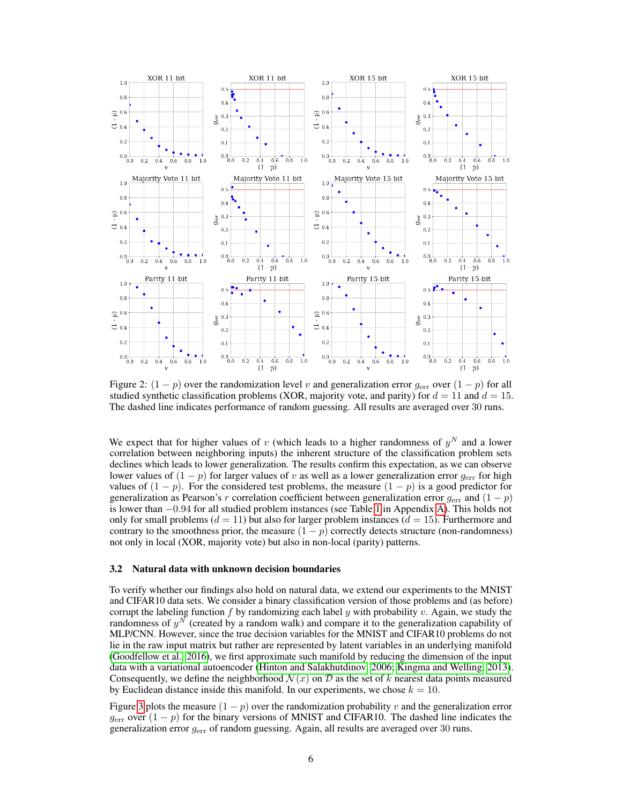<span id="page-5-0"></span>

Figure 2:  $(1 - p)$  over the randomization level v and generalization error  $g_{\text{err}}$  over  $(1 - p)$  for all studied synthetic classification problems (XOR, majority vote, and parity) for  $d = 11$  and  $d = 15$ . The dashed line indicates performance of random guessing. All results are averaged over 30 runs.

We expect that for higher values of v (which leads to a higher randomness of  $y<sup>N</sup>$  and a lower correlation between neighboring inputs) the inherent structure of the classification problem sets declines which leads to lower generalization. The results confirm this expectation, as we can observe lower values of  $(1 - p)$  for larger values of v as well as a lower generalization error  $g_{\text{err}}$  for high values of  $(1 - p)$ . For the considered test problems, the measure  $(1 - p)$  is a good predictor for generalization as Pearson's r correlation coefficient between generalization error  $g_{\text{err}}$  and  $(1 - p)$ is lower than −0.94 for all studied problem instances (see Table [1](#page-11-7) in Appendix [A\)](#page-11-8). This holds not only for small problems ( $d = 11$ ) but also for larger problem instances ( $d = 15$ ). Furthermore and contrary to the smoothness prior, the measure  $(1 - p)$  correctly detects structure (non-randomness) not only in local (XOR, majority vote) but also in non-local (parity) patterns.

#### <span id="page-5-1"></span>3.2 Natural data with unknown decision boundaries

To verify whether our findings also hold on natural data, we extend our experiments to the MNIST and CIFAR10 data sets. We consider a binary classification version of those problems and (as before) corrupt the labeling function f by randomizing each label y with probability v. Again, we study the randomness of  $y^N$  (created by a random walk) and compare it to the generalization capability of MLP/CNN. However, since the true decision variables for the MNIST and CIFAR10 problems do not lie in the raw input matrix but rather are represented by latent variables in an underlying manifold [\(Goodfellow et al., 2016\)](#page-9-9), we first approximate such manifold by reducing the dimension of the input data with a variational autoencoder [\(Hinton and Salakhutdinov, 2006;](#page-10-12) [Kingma and Welling, 2013\)](#page-10-13). Consequently, we define the neighborhood  $\mathcal{N}(x)$  on  $\mathcal D$  as the set of k nearest data points measured by Euclidean distance inside this manifold. In our experiments, we chose  $k = 10$ .

Figure [3](#page-6-0) plots the measure  $(1 - p)$  over the randomization probability v and the generalization error  $g_{\text{err}}$  over  $(1 - p)$  for the binary versions of MNIST and CIFAR10. The dashed line indicates the generalization error gerr of random guessing. Again, all results are averaged over 30 runs.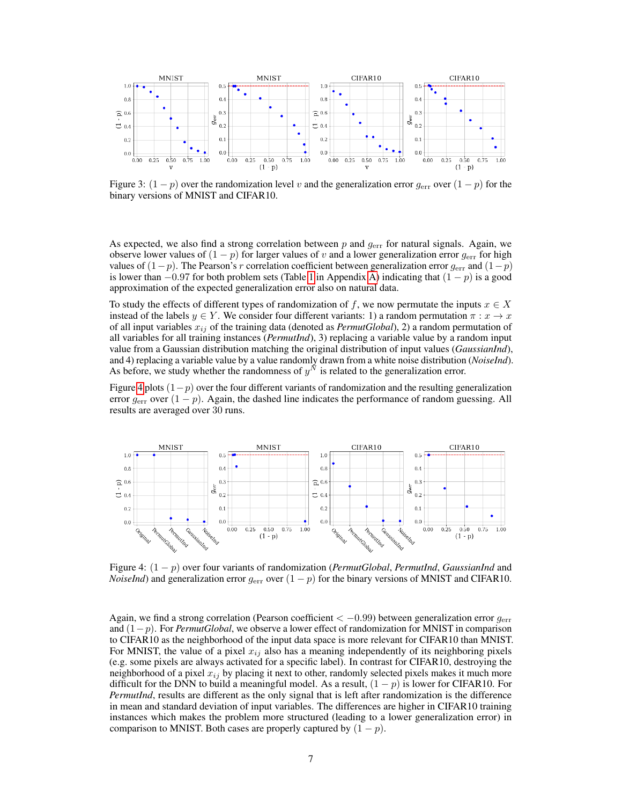<span id="page-6-0"></span>

Figure 3:  $(1-p)$  over the randomization level v and the generalization error  $g_{\text{err}}$  over  $(1-p)$  for the binary versions of MNIST and CIFAR10.

As expected, we also find a strong correlation between p and  $g_{err}$  for natural signals. Again, we observe lower values of  $(1 - p)$  for larger values of v and a lower generalization error  $g_{\text{err}}$  for high values of  $(1-p)$ . The Pearson's r correlation coefficient between generalization error  $g_{\text{err}}$  and  $(1-p)$ is lower than  $-0.97$  for both problem sets (Table [1](#page-11-7) in Appendix [A\)](#page-11-8) indicating that  $(1 - p)$  is a good approximation of the expected generalization error also on natural data.

To study the effects of different types of randomization of f, we now permutate the inputs  $x \in X$ instead of the labels  $y \in Y$ . We consider four different variants: 1) a random permutation  $\pi : x \to x$ of all input variables  $x_{ij}$  of the training data (denoted as  $PermutGlobal$ ), 2) a random permutation of all variables for all training instances (*PermutInd*), 3) replacing a variable value by a random input value from a Gaussian distribution matching the original distribution of input values (*GaussianInd*), and 4) replacing a variable value by a value randomly drawn from a white noise distribution (*NoiseInd*). As before, we study whether the randomness of  $y^N$  is related to the generalization error.

Figure [4](#page-6-1) plots  $(1-p)$  over the four different variants of randomization and the resulting generalization error  $g_{\text{err}}$  over  $(1 - p)$ . Again, the dashed line indicates the performance of random guessing. All results are averaged over 30 runs.

<span id="page-6-1"></span>

Figure 4: (1 − p) over four variants of randomization (*PermutGlobal*, *PermutInd*, *GaussianInd* and *NoiseInd*) and generalization error  $g_{err}$  over  $(1 - p)$  for the binary versions of MNIST and CIFAR10.

Again, we find a strong correlation (Pearson coefficient  $<-0.99$ ) between generalization error  $g_{\text{err}}$ and (1−p). For *PermutGlobal*, we observe a lower effect of randomization for MNIST in comparison to CIFAR10 as the neighborhood of the input data space is more relevant for CIFAR10 than MNIST. For MNIST, the value of a pixel  $x_{ij}$  also has a meaning independently of its neighboring pixels (e.g. some pixels are always activated for a specific label). In contrast for CIFAR10, destroying the neighborhood of a pixel  $x_{ij}$  by placing it next to other, randomly selected pixels makes it much more difficult for the DNN to build a meaningful model. As a result,  $(1 - p)$  is lower for CIFAR10. For *PermutInd*, results are different as the only signal that is left after randomization is the difference in mean and standard deviation of input variables. The differences are higher in CIFAR10 training instances which makes the problem more structured (leading to a lower generalization error) in comparison to MNIST. Both cases are properly captured by  $(1 - p)$ .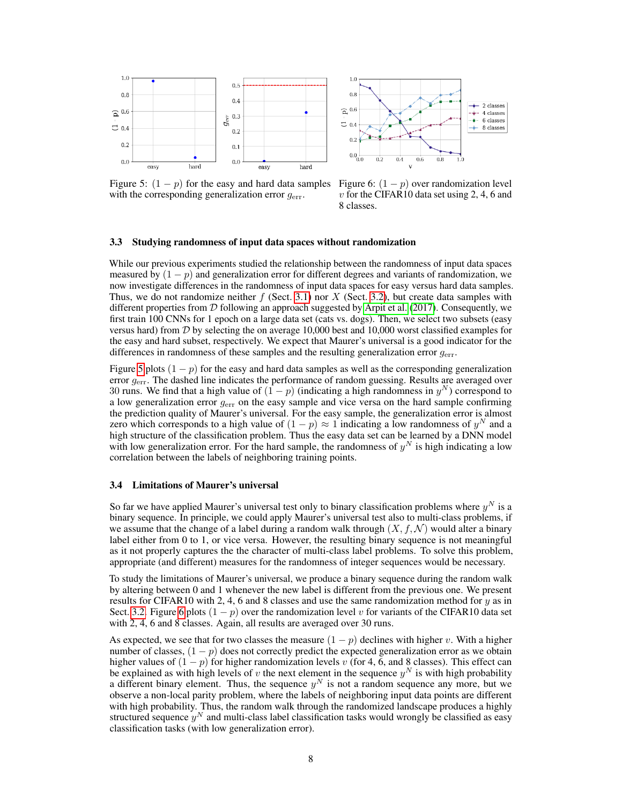<span id="page-7-0"></span>

Figure 5:  $(1 - p)$  for the easy and hard data samples with the corresponding generalization error  $g_{\text{err}}$ .

Figure 6:  $(1 - p)$  over randomization level  $v$  for the CIFAR10 data set using 2, 4, 6 and 8 classes.

#### 3.3 Studying randomness of input data spaces without randomization

While our previous experiments studied the relationship between the randomness of input data spaces measured by  $(1 - p)$  and generalization error for different degrees and variants of randomization, we now investigate differences in the randomness of input data spaces for easy versus hard data samples. Thus, we do not randomize neither  $f$  (Sect. [3.1\)](#page-4-1) nor  $X$  (Sect. [3.2\)](#page-5-1), but create data samples with different properties from  $D$  following an approach suggested by [Arpit et al.](#page-9-2) [\(2017\)](#page-9-2). Consequently, we first train 100 CNNs for 1 epoch on a large data set (cats vs. dogs). Then, we select two subsets (easy versus hard) from  $D$  by selecting the on average 10,000 best and 10,000 worst classified examples for the easy and hard subset, respectively. We expect that Maurer's universal is a good indicator for the differences in randomness of these samples and the resulting generalization error  $g_{\text{err}}$ .

Figure [5](#page-7-0) plots  $(1 - p)$  for the easy and hard data samples as well as the corresponding generalization error  $g_{\text{err}}$ . The dashed line indicates the performance of random guessing. Results are averaged over 30 runs. We find that a high value of  $(1 - p)$  (indicating a high randomness in  $y<sup>N</sup>$ ) correspond to a low generalization error  $g_{\text{err}}$  on the easy sample and vice versa on the hard sample confirming the prediction quality of Maurer's universal. For the easy sample, the generalization error is almost zero which corresponds to a high value of  $(1 - p) \approx 1$  indicating a low randomness of  $y<sup>N</sup>$  and a high structure of the classification problem. Thus the easy data set can be learned by a DNN model with low generalization error. For the hard sample, the randomness of  $y<sup>N</sup>$  is high indicating a low correlation between the labels of neighboring training points.

#### 3.4 Limitations of Maurer's universal

So far we have applied Maurer's universal test only to binary classification problems where  $y^N$  is a binary sequence. In principle, we could apply Maurer's universal test also to multi-class problems, if we assume that the change of a label during a random walk through  $(X, f, \mathcal{N})$  would alter a binary label either from 0 to 1, or vice versa. However, the resulting binary sequence is not meaningful as it not properly captures the the character of multi-class label problems. To solve this problem, appropriate (and different) measures for the randomness of integer sequences would be necessary.

To study the limitations of Maurer's universal, we produce a binary sequence during the random walk by altering between 0 and 1 whenever the new label is different from the previous one. We present results for CIFAR10 with 2, 4, 6 and 8 classes and use the same randomization method for  $y$  as in Sect. [3.2.](#page-5-1) Figure [6](#page-7-0) plots  $(1 - p)$  over the randomization level v for variants of the CIFAR10 data set with 2, 4, 6 and 8 classes. Again, all results are averaged over 30 runs.

As expected, we see that for two classes the measure  $(1 - p)$  declines with higher v. With a higher number of classes,  $(1 - p)$  does not correctly predict the expected generalization error as we obtain higher values of  $(1 - p)$  for higher randomization levels v (for 4, 6, and 8 classes). This effect can be explained as with high levels of v the next element in the sequence  $y^N$  is with high probability a different binary element. Thus, the sequence  $y<sup>N</sup>$  is not a random sequence any more, but we observe a non-local parity problem, where the labels of neighboring input data points are different with high probability. Thus, the random walk through the randomized landscape produces a highly structured sequence  $y^N$  and multi-class label classification tasks would wrongly be classified as easy classification tasks (with low generalization error).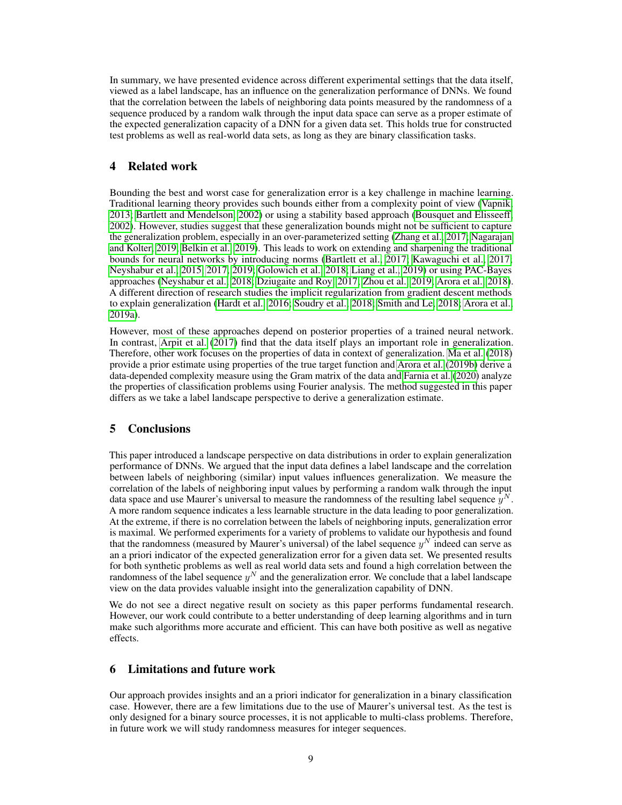In summary, we have presented evidence across different experimental settings that the data itself, viewed as a label landscape, has an influence on the generalization performance of DNNs. We found that the correlation between the labels of neighboring data points measured by the randomness of a sequence produced by a random walk through the input data space can serve as a proper estimate of the expected generalization capacity of a DNN for a given data set. This holds true for constructed test problems as well as real-world data sets, as long as they are binary classification tasks.

# <span id="page-8-0"></span>4 Related work

Bounding the best and worst case for generalization error is a key challenge in machine learning. Traditional learning theory provides such bounds either from a complexity point of view [\(Vapnik,](#page-10-1) [2013;](#page-10-1) [Bartlett and Mendelson, 2002\)](#page-9-0) or using a stability based approach [\(Bousquet and Elisseeff,](#page-9-1) [2002\)](#page-9-1). However, studies suggest that these generalization bounds might not be sufficient to capture the generalization problem, especially in an over-parameterized setting [\(Zhang et al., 2017;](#page-11-0) [Nagarajan](#page-10-14) [and Kolter, 2019;](#page-10-14) [Belkin et al., 2019\)](#page-9-10). This leads to work on extending and sharpening the traditional bounds for neural networks by introducing norms [\(Bartlett et al., 2017;](#page-9-11) [Kawaguchi et al., 2017;](#page-10-15) [Neyshabur et al., 2015,](#page-10-16) [2017,](#page-10-17) [2019;](#page-10-18) [Golowich et al., 2018;](#page-9-12) [Liang et al., 2019\)](#page-10-19) or using PAC-Bayes approaches [\(Neyshabur et al., 2018;](#page-10-20) [Dziugaite and Roy, 2017;](#page-9-13) [Zhou et al., 2019;](#page-11-9) [Arora et al., 2018\)](#page-9-14). A different direction of research studies the implicit regularization from gradient descent methods to explain generalization [\(Hardt et al., 2016;](#page-9-15) [Soudry et al., 2018;](#page-10-21) [Smith and Le, 2018;](#page-10-22) [Arora et al.,](#page-9-16) [2019a\)](#page-9-16).

However, most of these approaches depend on posterior properties of a trained neural network. In contrast, [Arpit et al.](#page-9-2) [\(2017\)](#page-9-2) find that the data itself plays an important role in generalization. Therefore, other work focuses on the properties of data in context of generalization. [Ma et al.](#page-10-23) [\(2018\)](#page-10-23) provide a prior estimate using properties of the true target function and [Arora et al.](#page-9-17) [\(2019b\)](#page-9-17) derive a data-depended complexity measure using the Gram matrix of the data and [Farnia et al.](#page-9-18) [\(2020\)](#page-9-18) analyze the properties of classification problems using Fourier analysis. The method suggested in this paper differs as we take a label landscape perspective to derive a generalization estimate.

### <span id="page-8-1"></span>5 Conclusions

This paper introduced a landscape perspective on data distributions in order to explain generalization performance of DNNs. We argued that the input data defines a label landscape and the correlation between labels of neighboring (similar) input values influences generalization. We measure the correlation of the labels of neighboring input values by performing a random walk through the input data space and use Maurer's universal to measure the randomness of the resulting label sequence  $y<sup>N</sup>$ . A more random sequence indicates a less learnable structure in the data leading to poor generalization. At the extreme, if there is no correlation between the labels of neighboring inputs, generalization error is maximal. We performed experiments for a variety of problems to validate our hypothesis and found that the randomness (measured by Maurer's universal) of the label sequence  $y^N$  indeed can serve as an a priori indicator of the expected generalization error for a given data set. We presented results for both synthetic problems as well as real world data sets and found a high correlation between the randomness of the label sequence  $y^N$  and the generalization error. We conclude that a label landscape view on the data provides valuable insight into the generalization capability of DNN.

We do not see a direct negative result on society as this paper performs fundamental research. However, our work could contribute to a better understanding of deep learning algorithms and in turn make such algorithms more accurate and efficient. This can have both positive as well as negative effects.

### <span id="page-8-2"></span>6 Limitations and future work

Our approach provides insights and an a priori indicator for generalization in a binary classification case. However, there are a few limitations due to the use of Maurer's universal test. As the test is only designed for a binary source processes, it is not applicable to multi-class problems. Therefore, in future work we will study randomness measures for integer sequences.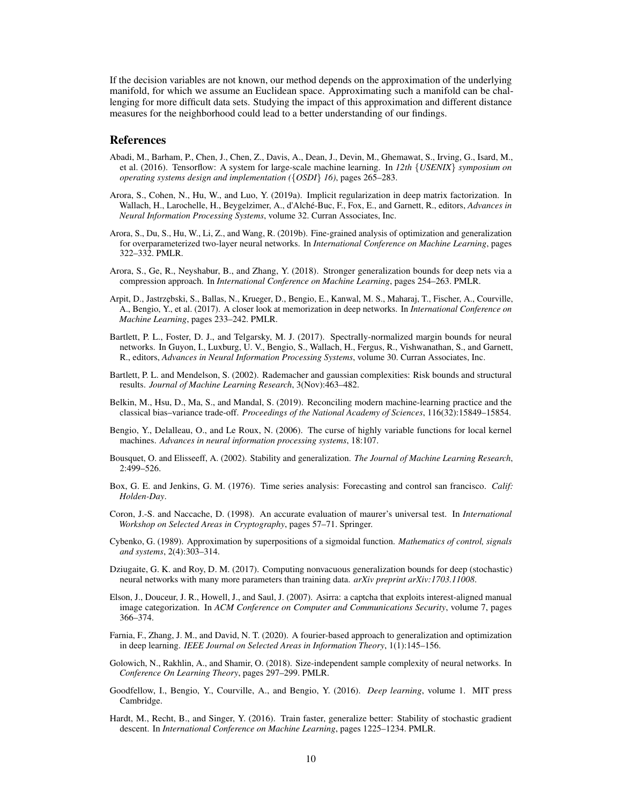If the decision variables are not known, our method depends on the approximation of the underlying manifold, for which we assume an Euclidean space. Approximating such a manifold can be challenging for more difficult data sets. Studying the impact of this approximation and different distance measures for the neighborhood could lead to a better understanding of our findings.

## **References**

- <span id="page-9-8"></span>Abadi, M., Barham, P., Chen, J., Chen, Z., Davis, A., Dean, J., Devin, M., Ghemawat, S., Irving, G., Isard, M., et al. (2016). Tensorflow: A system for large-scale machine learning. In *12th* {*USENIX*} *symposium on operating systems design and implementation (*{*OSDI*} *16)*, pages 265–283.
- <span id="page-9-16"></span>Arora, S., Cohen, N., Hu, W., and Luo, Y. (2019a). Implicit regularization in deep matrix factorization. In Wallach, H., Larochelle, H., Beygelzimer, A., d'Alché-Buc, F., Fox, E., and Garnett, R., editors, *Advances in Neural Information Processing Systems*, volume 32. Curran Associates, Inc.
- <span id="page-9-17"></span>Arora, S., Du, S., Hu, W., Li, Z., and Wang, R. (2019b). Fine-grained analysis of optimization and generalization for overparameterized two-layer neural networks. In *International Conference on Machine Learning*, pages 322–332. PMLR.
- <span id="page-9-14"></span>Arora, S., Ge, R., Neyshabur, B., and Zhang, Y. (2018). Stronger generalization bounds for deep nets via a compression approach. In *International Conference on Machine Learning*, pages 254–263. PMLR.
- <span id="page-9-2"></span>Arpit, D., Jastrz˛ebski, S., Ballas, N., Krueger, D., Bengio, E., Kanwal, M. S., Maharaj, T., Fischer, A., Courville, A., Bengio, Y., et al. (2017). A closer look at memorization in deep networks. In *International Conference on Machine Learning*, pages 233–242. PMLR.
- <span id="page-9-11"></span>Bartlett, P. L., Foster, D. J., and Telgarsky, M. J. (2017). Spectrally-normalized margin bounds for neural networks. In Guyon, I., Luxburg, U. V., Bengio, S., Wallach, H., Fergus, R., Vishwanathan, S., and Garnett, R., editors, *Advances in Neural Information Processing Systems*, volume 30. Curran Associates, Inc.
- <span id="page-9-0"></span>Bartlett, P. L. and Mendelson, S. (2002). Rademacher and gaussian complexities: Risk bounds and structural results. *Journal of Machine Learning Research*, 3(Nov):463–482.
- <span id="page-9-10"></span>Belkin, M., Hsu, D., Ma, S., and Mandal, S. (2019). Reconciling modern machine-learning practice and the classical bias–variance trade-off. *Proceedings of the National Academy of Sciences*, 116(32):15849–15854.
- <span id="page-9-5"></span>Bengio, Y., Delalleau, O., and Le Roux, N. (2006). The curse of highly variable functions for local kernel machines. *Advances in neural information processing systems*, 18:107.
- <span id="page-9-1"></span>Bousquet, O. and Elisseeff, A. (2002). Stability and generalization. *The Journal of Machine Learning Research*,  $2:499 - 526.$
- <span id="page-9-7"></span>Box, G. E. and Jenkins, G. M. (1976). Time series analysis: Forecasting and control san francisco. *Calif: Holden-Day*.
- <span id="page-9-6"></span>Coron, J.-S. and Naccache, D. (1998). An accurate evaluation of maurer's universal test. In *International Workshop on Selected Areas in Cryptography*, pages 57–71. Springer.
- <span id="page-9-4"></span>Cybenko, G. (1989). Approximation by superpositions of a sigmoidal function. *Mathematics of control, signals and systems*, 2(4):303–314.
- <span id="page-9-13"></span>Dziugaite, G. K. and Roy, D. M. (2017). Computing nonvacuous generalization bounds for deep (stochastic) neural networks with many more parameters than training data. *arXiv preprint arXiv:1703.11008*.
- <span id="page-9-3"></span>Elson, J., Douceur, J. R., Howell, J., and Saul, J. (2007). Asirra: a captcha that exploits interest-aligned manual image categorization. In *ACM Conference on Computer and Communications Security*, volume 7, pages 366–374.
- <span id="page-9-18"></span>Farnia, F., Zhang, J. M., and David, N. T. (2020). A fourier-based approach to generalization and optimization in deep learning. *IEEE Journal on Selected Areas in Information Theory*, 1(1):145–156.
- <span id="page-9-12"></span>Golowich, N., Rakhlin, A., and Shamir, O. (2018). Size-independent sample complexity of neural networks. In *Conference On Learning Theory*, pages 297–299. PMLR.
- <span id="page-9-9"></span>Goodfellow, I., Bengio, Y., Courville, A., and Bengio, Y. (2016). *Deep learning*, volume 1. MIT press Cambridge.
- <span id="page-9-15"></span>Hardt, M., Recht, B., and Singer, Y. (2016). Train faster, generalize better: Stability of stochastic gradient descent. In *International Conference on Machine Learning*, pages 1225–1234. PMLR.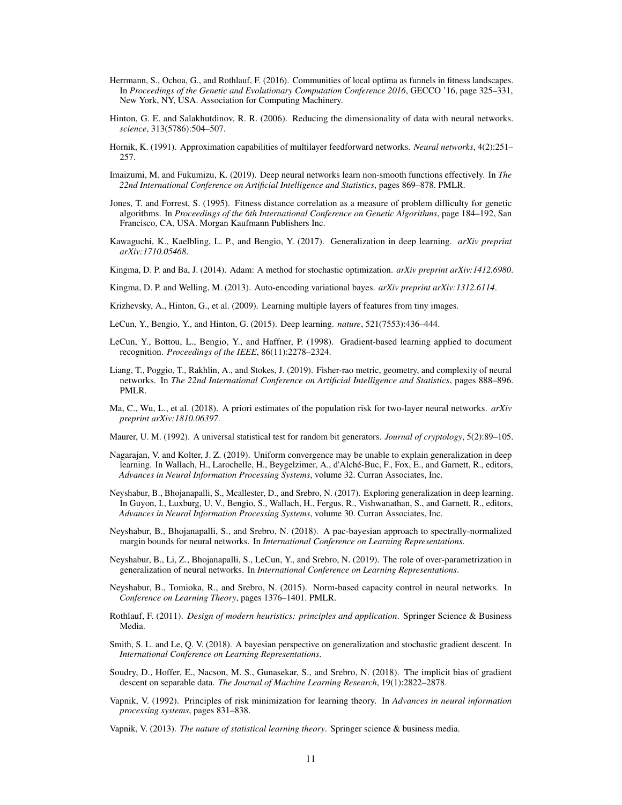- <span id="page-10-6"></span>Herrmann, S., Ochoa, G., and Rothlauf, F. (2016). Communities of local optima as funnels in fitness landscapes. In *Proceedings of the Genetic and Evolutionary Computation Conference 2016*, GECCO '16, page 325–331, New York, NY, USA. Association for Computing Machinery.
- <span id="page-10-12"></span>Hinton, G. E. and Salakhutdinov, R. R. (2006). Reducing the dimensionality of data with neural networks. *science*, 313(5786):504–507.
- <span id="page-10-5"></span>Hornik, K. (1991). Approximation capabilities of multilayer feedforward networks. *Neural networks*, 4(2):251– 257.
- <span id="page-10-9"></span>Imaizumi, M. and Fukumizu, K. (2019). Deep neural networks learn non-smooth functions effectively. In *The 22nd International Conference on Artificial Intelligence and Statistics*, pages 869–878. PMLR.
- <span id="page-10-7"></span>Jones, T. and Forrest, S. (1995). Fitness distance correlation as a measure of problem difficulty for genetic algorithms. In *Proceedings of the 6th International Conference on Genetic Algorithms*, page 184–192, San Francisco, CA, USA. Morgan Kaufmann Publishers Inc.
- <span id="page-10-15"></span>Kawaguchi, K., Kaelbling, L. P., and Bengio, Y. (2017). Generalization in deep learning. *arXiv preprint arXiv:1710.05468*.
- <span id="page-10-11"></span>Kingma, D. P. and Ba, J. (2014). Adam: A method for stochastic optimization. *arXiv preprint arXiv:1412.6980*.
- <span id="page-10-13"></span>Kingma, D. P. and Welling, M. (2013). Auto-encoding variational bayes. *arXiv preprint arXiv:1312.6114*.
- <span id="page-10-3"></span>Krizhevsky, A., Hinton, G., et al. (2009). Learning multiple layers of features from tiny images.
- <span id="page-10-0"></span>LeCun, Y., Bengio, Y., and Hinton, G. (2015). Deep learning. *nature*, 521(7553):436–444.
- <span id="page-10-2"></span>LeCun, Y., Bottou, L., Bengio, Y., and Haffner, P. (1998). Gradient-based learning applied to document recognition. *Proceedings of the IEEE*, 86(11):2278–2324.
- <span id="page-10-19"></span>Liang, T., Poggio, T., Rakhlin, A., and Stokes, J. (2019). Fisher-rao metric, geometry, and complexity of neural networks. In *The 22nd International Conference on Artificial Intelligence and Statistics*, pages 888–896. PMLR.
- <span id="page-10-23"></span>Ma, C., Wu, L., et al. (2018). A priori estimates of the population risk for two-layer neural networks. *arXiv preprint arXiv:1810.06397*.
- <span id="page-10-10"></span>Maurer, U. M. (1992). A universal statistical test for random bit generators. *Journal of cryptology*, 5(2):89–105.
- <span id="page-10-14"></span>Nagarajan, V. and Kolter, J. Z. (2019). Uniform convergence may be unable to explain generalization in deep learning. In Wallach, H., Larochelle, H., Beygelzimer, A., d'Alché-Buc, F., Fox, E., and Garnett, R., editors, *Advances in Neural Information Processing Systems*, volume 32. Curran Associates, Inc.
- <span id="page-10-17"></span>Neyshabur, B., Bhojanapalli, S., Mcallester, D., and Srebro, N. (2017). Exploring generalization in deep learning. In Guyon, I., Luxburg, U. V., Bengio, S., Wallach, H., Fergus, R., Vishwanathan, S., and Garnett, R., editors, *Advances in Neural Information Processing Systems*, volume 30. Curran Associates, Inc.
- <span id="page-10-20"></span>Neyshabur, B., Bhojanapalli, S., and Srebro, N. (2018). A pac-bayesian approach to spectrally-normalized margin bounds for neural networks. In *International Conference on Learning Representations*.
- <span id="page-10-18"></span>Neyshabur, B., Li, Z., Bhojanapalli, S., LeCun, Y., and Srebro, N. (2019). The role of over-parametrization in generalization of neural networks. In *International Conference on Learning Representations*.
- <span id="page-10-16"></span>Neyshabur, B., Tomioka, R., and Srebro, N. (2015). Norm-based capacity control in neural networks. In *Conference on Learning Theory*, pages 1376–1401. PMLR.
- <span id="page-10-8"></span>Rothlauf, F. (2011). *Design of modern heuristics: principles and application*. Springer Science & Business Media.
- <span id="page-10-22"></span>Smith, S. L. and Le, Q. V. (2018). A bayesian perspective on generalization and stochastic gradient descent. In *International Conference on Learning Representations*.
- <span id="page-10-21"></span>Soudry, D., Hoffer, E., Nacson, M. S., Gunasekar, S., and Srebro, N. (2018). The implicit bias of gradient descent on separable data. *The Journal of Machine Learning Research*, 19(1):2822–2878.
- <span id="page-10-4"></span>Vapnik, V. (1992). Principles of risk minimization for learning theory. In *Advances in neural information processing systems*, pages 831–838.
- <span id="page-10-1"></span>Vapnik, V. (2013). *The nature of statistical learning theory*. Springer science & business media.